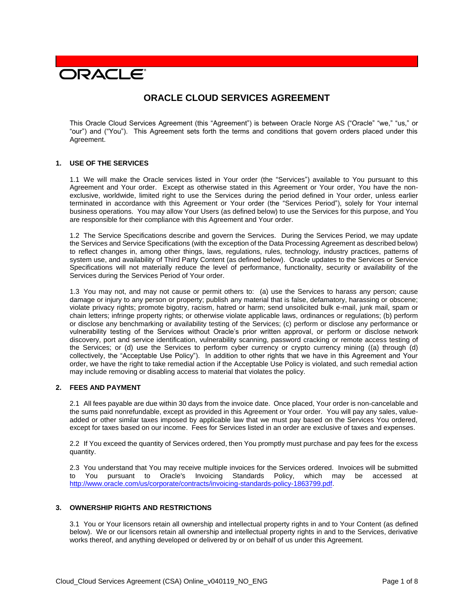# **DRACLE**

# **ORACLE CLOUD SERVICES AGREEMENT**

This Oracle Cloud Services Agreement (this "Agreement") is between Oracle Norge AS ("Oracle" "we," "us," or "our") and ("You"). This Agreement sets forth the terms and conditions that govern orders placed under this Agreement.

#### **1. USE OF THE SERVICES**

1.1 We will make the Oracle services listed in Your order (the "Services") available to You pursuant to this Agreement and Your order. Except as otherwise stated in this Agreement or Your order, You have the nonexclusive, worldwide, limited right to use the Services during the period defined in Your order, unless earlier terminated in accordance with this Agreement or Your order (the "Services Period"), solely for Your internal business operations. You may allow Your Users (as defined below) to use the Services for this purpose, and You are responsible for their compliance with this Agreement and Your order.

1.2 The Service Specifications describe and govern the Services. During the Services Period, we may update the Services and Service Specifications (with the exception of the Data Processing Agreement as described below) to reflect changes in, among other things, laws, regulations, rules, technology, industry practices, patterns of system use, and availability of Third Party Content (as defined below). Oracle updates to the Services or Service Specifications will not materially reduce the level of performance, functionality, security or availability of the Services during the Services Period of Your order.

1.3 You may not, and may not cause or permit others to: (a) use the Services to harass any person; cause damage or injury to any person or property; publish any material that is false, defamatory, harassing or obscene; violate privacy rights; promote bigotry, racism, hatred or harm; send unsolicited bulk e-mail, junk mail, spam or chain letters; infringe property rights; or otherwise violate applicable laws, ordinances or regulations; (b) perform or disclose any benchmarking or availability testing of the Services; (c) perform or disclose any performance or vulnerability testing of the Services without Oracle's prior written approval, or perform or disclose network discovery, port and service identification, vulnerability scanning, password cracking or remote access testing of the Services; or (d) use the Services to perform cyber currency or crypto currency mining ((a) through (d) collectively, the "Acceptable Use Policy"). In addition to other rights that we have in this Agreement and Your order, we have the right to take remedial action if the Acceptable Use Policy is violated, and such remedial action may include removing or disabling access to material that violates the policy.

# **2. FEES AND PAYMENT**

2.1 All fees payable are due within 30 days from the invoice date. Once placed, Your order is non-cancelable and the sums paid nonrefundable, except as provided in this Agreement or Your order. You will pay any sales, valueadded or other similar taxes imposed by applicable law that we must pay based on the Services You ordered, except for taxes based on our income. Fees for Services listed in an order are exclusive of taxes and expenses.

2.2 If You exceed the quantity of Services ordered, then You promptly must purchase and pay fees for the excess quantity.

2.3 You understand that You may receive multiple invoices for the Services ordered. Invoices will be submitted to You pursuant to Oracle's Invoicing Standards Policy, which may be accessed at [http://www.oracle.com/us/corporate/contracts/invoicing-standards-policy-1863799.pdf.](http://www.oracle.com/us/corporate/contracts/invoicing-standards-policy-1863799.pdf)

#### **3. OWNERSHIP RIGHTS AND RESTRICTIONS**

3.1 You or Your licensors retain all ownership and intellectual property rights in and to Your Content (as defined below). We or our licensors retain all ownership and intellectual property rights in and to the Services, derivative works thereof, and anything developed or delivered by or on behalf of us under this Agreement.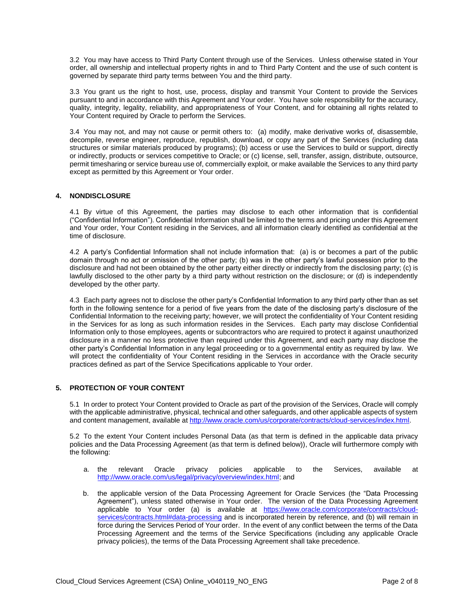3.2 You may have access to Third Party Content through use of the Services. Unless otherwise stated in Your order, all ownership and intellectual property rights in and to Third Party Content and the use of such content is governed by separate third party terms between You and the third party.

3.3 You grant us the right to host, use, process, display and transmit Your Content to provide the Services pursuant to and in accordance with this Agreement and Your order. You have sole responsibility for the accuracy, quality, integrity, legality, reliability, and appropriateness of Your Content, and for obtaining all rights related to Your Content required by Oracle to perform the Services.

3.4 You may not, and may not cause or permit others to: (a) modify, make derivative works of, disassemble, decompile, reverse engineer, reproduce, republish, download, or copy any part of the Services (including data structures or similar materials produced by programs); (b) access or use the Services to build or support, directly or indirectly, products or services competitive to Oracle; or (c) license, sell, transfer, assign, distribute, outsource, permit timesharing or service bureau use of, commercially exploit, or make available the Services to any third party except as permitted by this Agreement or Your order.

## **4. NONDISCLOSURE**

4.1 By virtue of this Agreement, the parties may disclose to each other information that is confidential ("Confidential Information"). Confidential Information shall be limited to the terms and pricing under this Agreement and Your order, Your Content residing in the Services, and all information clearly identified as confidential at the time of disclosure.

4.2 A party's Confidential Information shall not include information that: (a) is or becomes a part of the public domain through no act or omission of the other party; (b) was in the other party's lawful possession prior to the disclosure and had not been obtained by the other party either directly or indirectly from the disclosing party; (c) is lawfully disclosed to the other party by a third party without restriction on the disclosure; or (d) is independently developed by the other party.

4.3 Each party agrees not to disclose the other party's Confidential Information to any third party other than as set forth in the following sentence for a period of five years from the date of the disclosing party's disclosure of the Confidential Information to the receiving party; however, we will protect the confidentiality of Your Content residing in the Services for as long as such information resides in the Services. Each party may disclose Confidential Information only to those employees, agents or subcontractors who are required to protect it against unauthorized disclosure in a manner no less protective than required under this Agreement, and each party may disclose the other party's Confidential Information in any legal proceeding or to a governmental entity as required by law. We will protect the confidentiality of Your Content residing in the Services in accordance with the Oracle security practices defined as part of the Service Specifications applicable to Your order.

# **5. PROTECTION OF YOUR CONTENT**

5.1 In order to protect Your Content provided to Oracle as part of the provision of the Services, Oracle will comply with the applicable administrative, physical, technical and other safeguards, and other applicable aspects of system and content management, available at [http://www.oracle.com/us/corporate/contracts/cloud-services/index.html.](http://www.oracle.com/us/corporate/contracts/cloud-services/index.html)

5.2 To the extent Your Content includes Personal Data (as that term is defined in the applicable data privacy policies and the Data Processing Agreement (as that term is defined below)), Oracle will furthermore comply with the following:

- a. the relevant Oracle privacy policies applicable to the Services, available at [http://www.oracle.com/us/legal/privacy/overview/index.html;](http://www.oracle.com/us/legal/privacy/overview/index.html) and
- b. the applicable version of the Data Processing Agreement for Oracle Services (the "Data Processing Agreement"), unless stated otherwise in Your order. The version of the Data Processing Agreement applicable to Your order (a) is available at [https://www.oracle.com/corporate/contracts/cloud](https://www.oracle.com/corporate/contracts/cloud-services/contracts.html#data-processing)[services/contracts.html#data-processing](https://www.oracle.com/corporate/contracts/cloud-services/contracts.html#data-processing) and is incorporated herein by reference, and (b) will remain in force during the Services Period of Your order. In the event of any conflict between the terms of the Data Processing Agreement and the terms of the Service Specifications (including any applicable Oracle privacy policies), the terms of the Data Processing Agreement shall take precedence.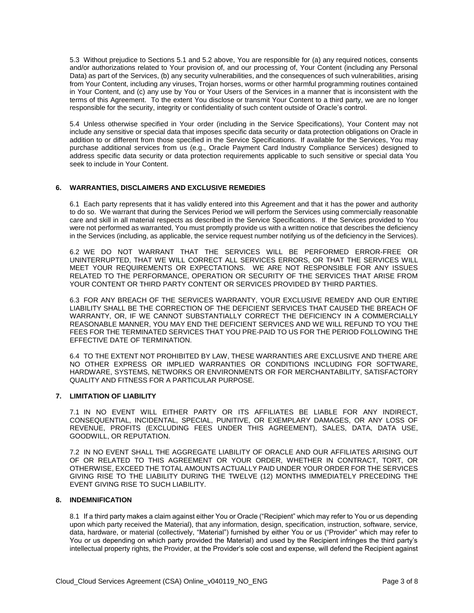5.3 Without prejudice to Sections 5.1 and 5.2 above, You are responsible for (a) any required notices, consents and/or authorizations related to Your provision of, and our processing of, Your Content (including any Personal Data) as part of the Services, (b) any security vulnerabilities, and the consequences of such vulnerabilities, arising from Your Content, including any viruses, Trojan horses, worms or other harmful programming routines contained in Your Content, and (c) any use by You or Your Users of the Services in a manner that is inconsistent with the terms of this Agreement. To the extent You disclose or transmit Your Content to a third party, we are no longer responsible for the security, integrity or confidentiality of such content outside of Oracle's control.

5.4 Unless otherwise specified in Your order (including in the Service Specifications), Your Content may not include any sensitive or special data that imposes specific data security or data protection obligations on Oracle in addition to or different from those specified in the Service Specifications. If available for the Services, You may purchase additional services from us (e.g., Oracle Payment Card Industry Compliance Services) designed to address specific data security or data protection requirements applicable to such sensitive or special data You seek to include in Your Content.

#### **6. WARRANTIES, DISCLAIMERS AND EXCLUSIVE REMEDIES**

6.1 Each party represents that it has validly entered into this Agreement and that it has the power and authority to do so. We warrant that during the Services Period we will perform the Services using commercially reasonable care and skill in all material respects as described in the Service Specifications. If the Services provided to You were not performed as warranted, You must promptly provide us with a written notice that describes the deficiency in the Services (including, as applicable, the service request number notifying us of the deficiency in the Services).

6.2 WE DO NOT WARRANT THAT THE SERVICES WILL BE PERFORMED ERROR-FREE OR UNINTERRUPTED, THAT WE WILL CORRECT ALL SERVICES ERRORS, OR THAT THE SERVICES WILL MEET YOUR REQUIREMENTS OR EXPECTATIONS. WE ARE NOT RESPONSIBLE FOR ANY ISSUES RELATED TO THE PERFORMANCE, OPERATION OR SECURITY OF THE SERVICES THAT ARISE FROM YOUR CONTENT OR THIRD PARTY CONTENT OR SERVICES PROVIDED BY THIRD PARTIES.

6.3 FOR ANY BREACH OF THE SERVICES WARRANTY, YOUR EXCLUSIVE REMEDY AND OUR ENTIRE LIABILITY SHALL BE THE CORRECTION OF THE DEFICIENT SERVICES THAT CAUSED THE BREACH OF WARRANTY, OR, IF WE CANNOT SUBSTANTIALLY CORRECT THE DEFICIENCY IN A COMMERCIALLY REASONABLE MANNER, YOU MAY END THE DEFICIENT SERVICES AND WE WILL REFUND TO YOU THE FEES FOR THE TERMINATED SERVICES THAT YOU PRE-PAID TO US FOR THE PERIOD FOLLOWING THE EFFECTIVE DATE OF TERMINATION.

6.4 TO THE EXTENT NOT PROHIBITED BY LAW, THESE WARRANTIES ARE EXCLUSIVE AND THERE ARE NO OTHER EXPRESS OR IMPLIED WARRANTIES OR CONDITIONS INCLUDING FOR SOFTWARE, HARDWARE, SYSTEMS, NETWORKS OR ENVIRONMENTS OR FOR MERCHANTABILITY, SATISFACTORY QUALITY AND FITNESS FOR A PARTICULAR PURPOSE.

#### **7. LIMITATION OF LIABILITY**

7.1 IN NO EVENT WILL EITHER PARTY OR ITS AFFILIATES BE LIABLE FOR ANY INDIRECT, CONSEQUENTIAL, INCIDENTAL, SPECIAL, PUNITIVE, OR EXEMPLARY DAMAGES, OR ANY LOSS OF REVENUE, PROFITS (EXCLUDING FEES UNDER THIS AGREEMENT), SALES, DATA, DATA USE, GOODWILL, OR REPUTATION.

7.2 IN NO EVENT SHALL THE AGGREGATE LIABILITY OF ORACLE AND OUR AFFILIATES ARISING OUT OF OR RELATED TO THIS AGREEMENT OR YOUR ORDER, WHETHER IN CONTRACT, TORT, OR OTHERWISE, EXCEED THE TOTAL AMOUNTS ACTUALLY PAID UNDER YOUR ORDER FOR THE SERVICES GIVING RISE TO THE LIABILITY DURING THE TWELVE (12) MONTHS IMMEDIATELY PRECEDING THE EVENT GIVING RISE TO SUCH LIABILITY.

#### **8. INDEMNIFICATION**

8.1 If a third party makes a claim against either You or Oracle ("Recipient" which may refer to You or us depending upon which party received the Material), that any information, design, specification, instruction, software, service, data, hardware, or material (collectively, "Material") furnished by either You or us ("Provider" which may refer to You or us depending on which party provided the Material) and used by the Recipient infringes the third party's intellectual property rights, the Provider, at the Provider's sole cost and expense, will defend the Recipient against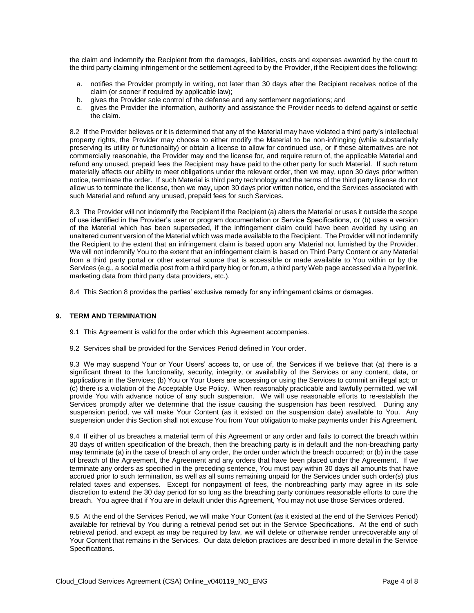the claim and indemnify the Recipient from the damages, liabilities, costs and expenses awarded by the court to the third party claiming infringement or the settlement agreed to by the Provider, if the Recipient does the following:

- a. notifies the Provider promptly in writing, not later than 30 days after the Recipient receives notice of the claim (or sooner if required by applicable law);
- b. gives the Provider sole control of the defense and any settlement negotiations; and
- c. gives the Provider the information, authority and assistance the Provider needs to defend against or settle the claim.

8.2 If the Provider believes or it is determined that any of the Material may have violated a third party's intellectual property rights, the Provider may choose to either modify the Material to be non-infringing (while substantially preserving its utility or functionality) or obtain a license to allow for continued use, or if these alternatives are not commercially reasonable, the Provider may end the license for, and require return of, the applicable Material and refund any unused, prepaid fees the Recipient may have paid to the other party for such Material. If such return materially affects our ability to meet obligations under the relevant order, then we may, upon 30 days prior written notice, terminate the order. If such Material is third party technology and the terms of the third party license do not allow us to terminate the license, then we may, upon 30 days prior written notice, end the Services associated with such Material and refund any unused, prepaid fees for such Services.

8.3 The Provider will not indemnify the Recipient if the Recipient (a) alters the Material or uses it outside the scope of use identified in the Provider's user or program documentation or Service Specifications, or (b) uses a version of the Material which has been superseded, if the infringement claim could have been avoided by using an unaltered current version of the Material which was made available to the Recipient. The Provider will not indemnify the Recipient to the extent that an infringement claim is based upon any Material not furnished by the Provider. We will not indemnify You to the extent that an infringement claim is based on Third Party Content or any Material from a third party portal or other external source that is accessible or made available to You within or by the Services (e.g., a social media post from a third party blog or forum, a third party Web page accessed via a hyperlink, marketing data from third party data providers, etc.).

8.4 This Section 8 provides the parties' exclusive remedy for any infringement claims or damages.

#### **9. TERM AND TERMINATION**

- 9.1 This Agreement is valid for the order which this Agreement accompanies.
- 9.2 Services shall be provided for the Services Period defined in Your order.

9.3 We may suspend Your or Your Users' access to, or use of, the Services if we believe that (a) there is a significant threat to the functionality, security, integrity, or availability of the Services or any content, data, or applications in the Services; (b) You or Your Users are accessing or using the Services to commit an illegal act; or (c) there is a violation of the Acceptable Use Policy. When reasonably practicable and lawfully permitted, we will provide You with advance notice of any such suspension. We will use reasonable efforts to re-establish the Services promptly after we determine that the issue causing the suspension has been resolved. During any suspension period, we will make Your Content (as it existed on the suspension date) available to You. Any suspension under this Section shall not excuse You from Your obligation to make payments under this Agreement.

9.4 If either of us breaches a material term of this Agreement or any order and fails to correct the breach within 30 days of written specification of the breach, then the breaching party is in default and the non-breaching party may terminate (a) in the case of breach of any order, the order under which the breach occurred; or (b) in the case of breach of the Agreement, the Agreement and any orders that have been placed under the Agreement. If we terminate any orders as specified in the preceding sentence, You must pay within 30 days all amounts that have accrued prior to such termination, as well as all sums remaining unpaid for the Services under such order(s) plus related taxes and expenses. Except for nonpayment of fees, the nonbreaching party may agree in its sole discretion to extend the 30 day period for so long as the breaching party continues reasonable efforts to cure the breach. You agree that if You are in default under this Agreement, You may not use those Services ordered.

9.5 At the end of the Services Period, we will make Your Content (as it existed at the end of the Services Period) available for retrieval by You during a retrieval period set out in the Service Specifications. At the end of such retrieval period, and except as may be required by law, we will delete or otherwise render unrecoverable any of Your Content that remains in the Services. Our data deletion practices are described in more detail in the Service Specifications.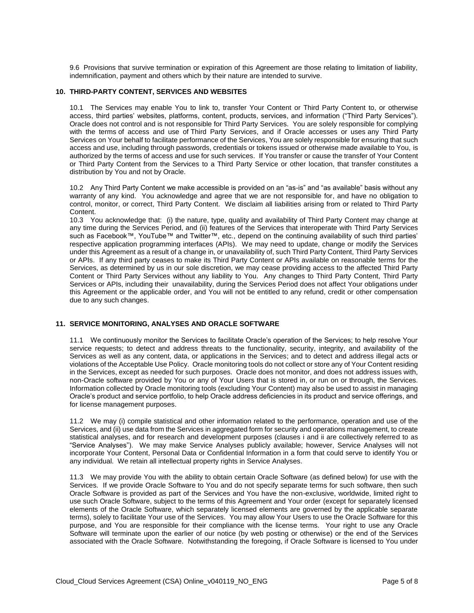9.6 Provisions that survive termination or expiration of this Agreement are those relating to limitation of liability, indemnification, payment and others which by their nature are intended to survive.

#### **10. THIRD-PARTY CONTENT, SERVICES AND WEBSITES**

10.1 The Services may enable You to link to, transfer Your Content or Third Party Content to, or otherwise access, third parties' websites, platforms, content, products, services, and information ("Third Party Services"). Oracle does not control and is not responsible for Third Party Services. You are solely responsible for complying with the terms of access and use of Third Party Services, and if Oracle accesses or uses any Third Party Services on Your behalf to facilitate performance of the Services, You are solely responsible for ensuring that such access and use, including through passwords, credentials or tokens issued or otherwise made available to You, is authorized by the terms of access and use for such services. If You transfer or cause the transfer of Your Content or Third Party Content from the Services to a Third Party Service or other location, that transfer constitutes a distribution by You and not by Oracle.

10.2 Any Third Party Content we make accessible is provided on an "as-is" and "as available" basis without any warranty of any kind. You acknowledge and agree that we are not responsible for, and have no obligation to control, monitor, or correct, Third Party Content. We disclaim all liabilities arising from or related to Third Party Content.

10.3 You acknowledge that: (i) the nature, type, quality and availability of Third Party Content may change at any time during the Services Period, and (ii) features of the Services that interoperate with Third Party Services such as Facebook™, YouTube™ and Twitter™, etc., depend on the continuing availability of such third parties' respective application programming interfaces (APIs). We may need to update, change or modify the Services under this Agreement as a result of a change in, or unavailability of, such Third Party Content, Third Party Services or APIs. If any third party ceases to make its Third Party Content or APIs available on reasonable terms for the Services, as determined by us in our sole discretion, we may cease providing access to the affected Third Party Content or Third Party Services without any liability to You. Any changes to Third Party Content, Third Party Services or APIs, including their unavailability, during the Services Period does not affect Your obligations under this Agreement or the applicable order, and You will not be entitled to any refund, credit or other compensation due to any such changes.

#### **11. SERVICE MONITORING, ANALYSES AND ORACLE SOFTWARE**

11.1 We continuously monitor the Services to facilitate Oracle's operation of the Services; to help resolve Your service requests; to detect and address threats to the functionality, security, integrity, and availability of the Services as well as any content, data, or applications in the Services; and to detect and address illegal acts or violations of the Acceptable Use Policy. Oracle monitoring tools do not collect or store any of Your Content residing in the Services, except as needed for such purposes. Oracle does not monitor, and does not address issues with, non-Oracle software provided by You or any of Your Users that is stored in, or run on or through, the Services. Information collected by Oracle monitoring tools (excluding Your Content) may also be used to assist in managing Oracle's product and service portfolio, to help Oracle address deficiencies in its product and service offerings, and for license management purposes.

11.2 We may (i) compile statistical and other information related to the performance, operation and use of the Services, and (ii) use data from the Services in aggregated form for security and operations management, to create statistical analyses, and for research and development purposes (clauses i and ii are collectively referred to as "Service Analyses"). We may make Service Analyses publicly available; however, Service Analyses will not incorporate Your Content, Personal Data or Confidential Information in a form that could serve to identify You or any individual. We retain all intellectual property rights in Service Analyses.

11.3 We may provide You with the ability to obtain certain Oracle Software (as defined below) for use with the Services. If we provide Oracle Software to You and do not specify separate terms for such software, then such Oracle Software is provided as part of the Services and You have the non-exclusive, worldwide, limited right to use such Oracle Software, subject to the terms of this Agreement and Your order (except for separately licensed elements of the Oracle Software, which separately licensed elements are governed by the applicable separate terms), solely to facilitate Your use of the Services. You may allow Your Users to use the Oracle Software for this purpose, and You are responsible for their compliance with the license terms. Your right to use any Oracle Software will terminate upon the earlier of our notice (by web posting or otherwise) or the end of the Services associated with the Oracle Software. Notwithstanding the foregoing, if Oracle Software is licensed to You under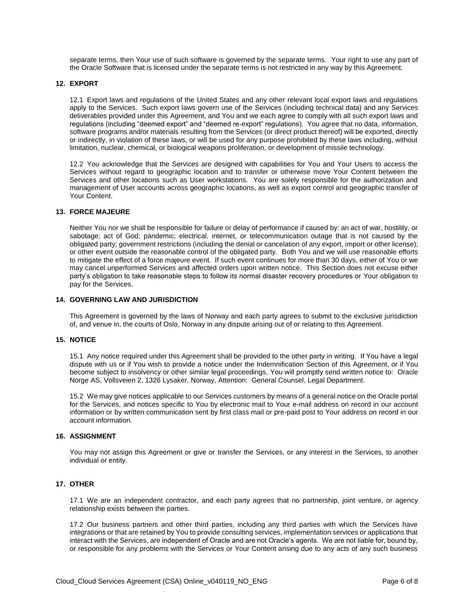separate terms, then Your use of such software is governed by the separate terms. Your right to use any part of the Oracle Software that is licensed under the separate terms is not restricted in any way by this Agreement.

#### **12. EXPORT**

12.1 Export laws and regulations of the United States and any other relevant local export laws and regulations apply to the Services. Such export laws govern use of the Services (including technical data) and any Services deliverables provided under this Agreement, and You and we each agree to comply with all such export laws and regulations (including "deemed export" and "deemed re-export" regulations). You agree that no data, information, software programs and/or materials resulting from the Services (or direct product thereof) will be exported, directly or indirectly, in violation of these laws, or will be used for any purpose prohibited by these laws including, without limitation, nuclear, chemical, or biological weapons proliferation, or development of missile technology.

12.2 You acknowledge that the Services are designed with capabilities for You and Your Users to access the Services without regard to geographic location and to transfer or otherwise move Your Content between the Services and other locations such as User workstations. You are solely responsible for the authorization and management of User accounts across geographic locations, as well as export control and geographic transfer of Your Content.

#### **13. FORCE MAJEURE**

Neither You nor we shall be responsible for failure or delay of performance if caused by: an act of war, hostility, or sabotage; act of God; pandemic; electrical, internet, or telecommunication outage that is not caused by the obligated party; government restrictions (including the denial or cancelation of any export, import or other license); or other event outside the reasonable control of the obligated party. Both You and we will use reasonable efforts to mitigate the effect of a force majeure event. If such event continues for more than 30 days, either of You or we may cancel unperformed Services and affected orders upon written notice. This Section does not excuse either party's obligation to take reasonable steps to follow its normal disaster recovery procedures or Your obligation to pay for the Services.

#### **14. GOVERNING LAW AND JURISDICTION**

This Agreement is governed by the laws of Norway and each party agrees to submit to the exclusive jurisdiction of, and venue in, the courts of Oslo, Norway in any dispute arising out of or relating to this Agreement.

#### **15. NOTICE**

15.1 Any notice required under this Agreement shall be provided to the other party in writing. If You have a legal dispute with us or if You wish to provide a notice under the Indemnification Section of this Agreement, or if You become subject to insolvency or other similar legal proceedings, You will promptly send written notice to: Oracle Norge AS, Vollsveien 2, 1326 Lysaker, Norway, Attention: General Counsel, Legal Department.

15.2 We may give notices applicable to our Services customers by means of a general notice on the Oracle portal for the Services, and notices specific to You by electronic mail to Your e-mail address on record in our account information or by written communication sent by first class mail or pre-paid post to Your address on record in our account information.

#### **16. ASSIGNMENT**

You may not assign this Agreement or give or transfer the Services, or any interest in the Services, to another individual or entity.

#### **17. OTHER**

17.1 We are an independent contractor, and each party agrees that no partnership, joint venture, or agency relationship exists between the parties.

17.2 Our business partners and other third parties, including any third parties with which the Services have integrations or that are retained by You to provide consulting services, implementation services or applications that interact with the Services, are independent of Oracle and are not Oracle's agents. We are not liable for, bound by, or responsible for any problems with the Services or Your Content arising due to any acts of any such business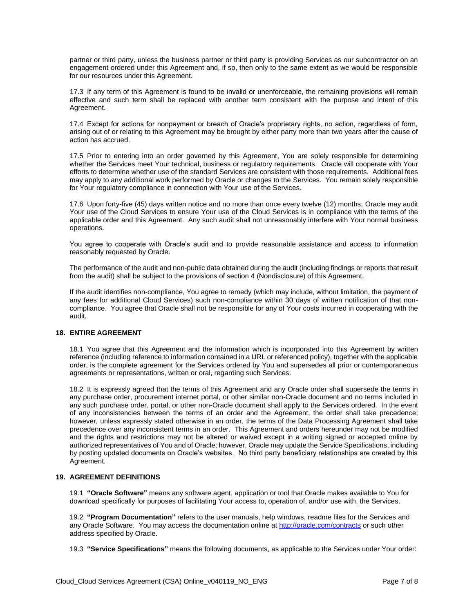partner or third party, unless the business partner or third party is providing Services as our subcontractor on an engagement ordered under this Agreement and, if so, then only to the same extent as we would be responsible for our resources under this Agreement.

17.3 If any term of this Agreement is found to be invalid or unenforceable, the remaining provisions will remain effective and such term shall be replaced with another term consistent with the purpose and intent of this Agreement.

17.4 Except for actions for nonpayment or breach of Oracle's proprietary rights, no action, regardless of form, arising out of or relating to this Agreement may be brought by either party more than two years after the cause of action has accrued.

17.5 Prior to entering into an order governed by this Agreement, You are solely responsible for determining whether the Services meet Your technical, business or regulatory requirements. Oracle will cooperate with Your efforts to determine whether use of the standard Services are consistent with those requirements. Additional fees may apply to any additional work performed by Oracle or changes to the Services. You remain solely responsible for Your regulatory compliance in connection with Your use of the Services.

17.6 Upon forty-five (45) days written notice and no more than once every twelve (12) months, Oracle may audit Your use of the Cloud Services to ensure Your use of the Cloud Services is in compliance with the terms of the applicable order and this Agreement. Any such audit shall not unreasonably interfere with Your normal business operations.

You agree to cooperate with Oracle's audit and to provide reasonable assistance and access to information reasonably requested by Oracle.

The performance of the audit and non-public data obtained during the audit (including findings or reports that result from the audit) shall be subject to the provisions of section 4 (Nondisclosure) of this Agreement.

If the audit identifies non-compliance, You agree to remedy (which may include, without limitation, the payment of any fees for additional Cloud Services) such non-compliance within 30 days of written notification of that noncompliance. You agree that Oracle shall not be responsible for any of Your costs incurred in cooperating with the audit.

#### **18. ENTIRE AGREEMENT**

18.1 You agree that this Agreement and the information which is incorporated into this Agreement by written reference (including reference to information contained in a URL or referenced policy), together with the applicable order, is the complete agreement for the Services ordered by You and supersedes all prior or contemporaneous agreements or representations, written or oral, regarding such Services.

18.2 It is expressly agreed that the terms of this Agreement and any Oracle order shall supersede the terms in any purchase order, procurement internet portal, or other similar non-Oracle document and no terms included in any such purchase order, portal, or other non-Oracle document shall apply to the Services ordered. In the event of any inconsistencies between the terms of an order and the Agreement, the order shall take precedence; however, unless expressly stated otherwise in an order, the terms of the Data Processing Agreement shall take precedence over any inconsistent terms in an order. This Agreement and orders hereunder may not be modified and the rights and restrictions may not be altered or waived except in a writing signed or accepted online by authorized representatives of You and of Oracle; however, Oracle may update the Service Specifications, including by posting updated documents on Oracle's websites. No third party beneficiary relationships are created by this Agreement.

# **19. AGREEMENT DEFINITIONS**

19.1 **"Oracle Software"** means any software agent, application or tool that Oracle makes available to You for download specifically for purposes of facilitating Your access to, operation of, and/or use with, the Services.

19.2 **"Program Documentation"** refers to the user manuals, help windows, readme files for the Services and any Oracle Software. You may access the documentation online a[t http://oracle.com/contracts](http://oracle.com/contracts) or such other address specified by Oracle.

19.3 **"Service Specifications"** means the following documents, as applicable to the Services under Your order: